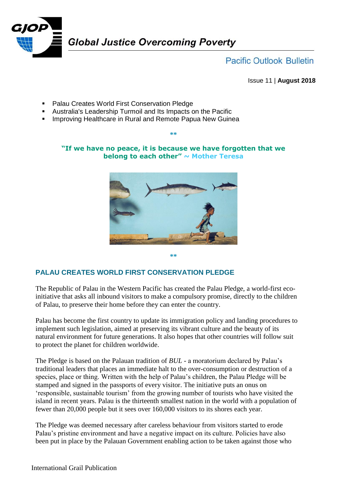

**Pacific Outlook Bulletin** 

Issue 11 | **August 2018**

- **Palau Creates World First Conservation Pledge**
- Australia's Leadership Turmoil and Its Impacts on the Pacific
- **IMPROVIG ATTA HEART IS ADDETED IN RURAL AND IN A HEALTH** Improving Healthcare in Rural and Remote Papua New Guinea

### **"If we have no peace, it is because we have forgotten that we belong to each other" ~ Mother Teresa**

**\*\***



**\*\***

# **PALAU CREATES WORLD FIRST CONSERVATION PLEDGE**

The Republic of Palau in the Western Pacific has created the Palau Pledge, a world-first ecoinitiative that asks all inbound visitors to make a compulsory promise, directly to the children of Palau, to preserve their home before they can enter the country.

Palau has become the first country to update its immigration policy and landing procedures to implement such legislation, aimed at preserving its vibrant culture and the beauty of its natural environment for future generations. It also hopes that other countries will follow suit to protect the planet for children worldwide.

The Pledge is based on the Palauan tradition of *BUL* - a moratorium declared by Palau's traditional leaders that places an immediate halt to the over-consumption or destruction of a species, place or thing. Written with the help of Palau's children, the Palau Pledge will be stamped and signed in the passports of every visitor. The initiative puts an onus on 'responsible, sustainable tourism' from the growing number of tourists who have visited the island in recent years. Palau is the thirteenth smallest nation in the world with a population of fewer than 20,000 people but it sees over 160,000 visitors to its shores each year.

The Pledge was deemed necessary after careless behaviour from visitors started to erode Palau's pristine environment and have a negative impact on its culture. Policies have also been put in place by the Palauan Government enabling action to be taken against those who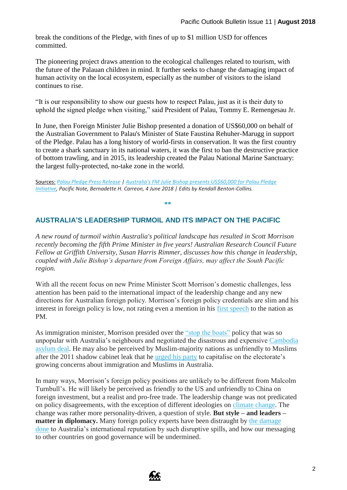break the conditions of the Pledge, with fines of up to \$1 million USD for offences committed.

The pioneering project draws attention to the ecological challenges related to tourism, with the future of the Palauan children in mind. It further seeks to change the damaging impact of human activity on the local ecosystem, especially as the number of visitors to the island continues to rise.

"It is our responsibility to show our guests how to respect Palau, just as it is their duty to uphold the signed pledge when visiting," said President of Palau, Tommy E. Remengesau Jr.

In June, then Foreign Minister Julie Bishop presented a donation of US\$60,000 on behalf of the Australian Government to Palau's Minister of State Faustina Rehuher-Marugg in support of the Pledge. Palau has a long history of world-firsts in conservation. It was the first country to create a shark sanctuary in its national waters, it was the first to ban the destructive practice of bottom trawling, and in 2015, its leadership created the Palau National Marine Sanctuary: the largest fully-protected, no-take zone in the world.

Sources: *[Palau Pledge Press Release](https://palaupledge.com/media/) | [Australia's FM Julie Bishop presents US\\$60,000 for Palau Pledge](https://www.pacificnote.com/single-post/2018/06/04/Australias-FM-Julie-Bishop-presents-US60000-to-Palau-Pledge-Initiative)  [Initiative,](https://www.pacificnote.com/single-post/2018/06/04/Australias-FM-Julie-Bishop-presents-US60000-to-Palau-Pledge-Initiative) Pacific Note, Bernadette H. Carreon, 4 June 2018 | Edits by Kendall Benton-Collins.*

#### **\*\***

## **AUSTRALIA'S LEADERSHIP TURMOIL AND ITS IMPACT ON THE PACIFIC**

*A new round of turmoil within Australia's political landscape has resulted in Scott Morrison recently becoming the fifth Prime Minister in five years! Australian Research Council Future Fellow at Griffith University, Susan Harris Rimmer, discusses how this change in leadership, coupled with Julie Bishop's departure from Foreign Affairs, may affect the South Pacific region.*

With all the recent focus on new Prime Minister Scott Morrison's domestic challenges, less attention has been paid to the international impact of the leadership change and any new directions for Australian foreign policy. Morrison's foreign policy credentials are slim and his interest in foreign policy is low, not rating even a mention in his first [speech](https://www.afr.com/news/transcript-of-new-prime-minister-scott-morrisons-first-press-conference-20180824-h14h1a) to the nation as PM.

As immigration minister, Morrison presided over the ["stop the boats"](https://www.nytimes.com/2015/09/03/opinion/australias-brutal-treatment-of-migrants.html) policy that was so unpopular with Australia's neighbours and negotiated the disastrous and expensive [Cambodia](http://www.kaldorcentre.unsw.edu.au/sites/default/files/Factsheet_Cambodia-agreement_0117.pdf)  [asylum deal.](http://www.kaldorcentre.unsw.edu.au/sites/default/files/Factsheet_Cambodia-agreement_0117.pdf) He may also be perceived by Muslim-majority nations as unfriendly to Muslims after the 2011 shadow cabinet leak that he urged [his party](https://www.smh.com.au/national/morrison-sees-votes-in-anti-muslim-strategy-20110216-1awmo.html) to capitalise on the electorate's growing concerns about immigration and Muslims in Australia.

In many ways, Morrison's foreign policy positions are unlikely to be different from Malcolm Turnbull's. He will likely be perceived as friendly to the US and unfriendly to China on foreign investment, but a realist and pro-free trade. The leadership change was not predicated on policy disagreements, with the exception of different ideologies on [climate change.](https://www.nytimes.com/2018/08/21/world/australia/australia-climate-change-malcolm-turnbull.html) The change was rather more personality-driven, a question of style. **But style – and leaders – matter in diplomacy.** Many foreign policy experts have been distraught by the [damage](https://www.afr.com/news/policy/foreign-affairs/scott-morrison-wins-but-australia-loses-20180824-h14gjq)  [done](https://www.afr.com/news/policy/foreign-affairs/scott-morrison-wins-but-australia-loses-20180824-h14gjq) to Australia's international reputation by such disruptive spills, and how our messaging to other countries on good governance will be undermined.

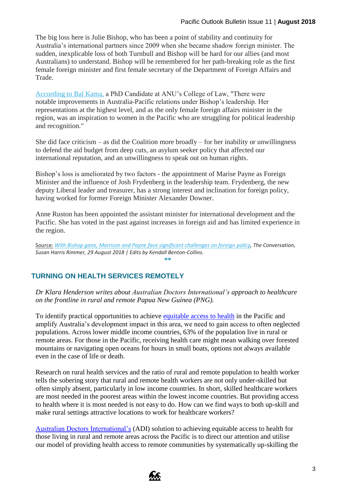The big loss here is Julie Bishop, who has been a point of stability and continuity for Australia's international partners since 2009 when she became shadow foreign minister. The sudden, inexplicable loss of both Turnbull and Bishop will be hard for our allies (and most Australians) to understand. Bishop will be remembered for her path-breaking role as the first female foreign minister and first female secretary of the Department of Foreign Affairs and Trade.

[According to](http://www.devpolicy.org/canberras-turmoil-implications-for-the-pacific-20180830/) Bal Kama, a PhD Candidate at ANU's College of Law, "There were notable improvements in Australia-Pacific relations under Bishop's leadership. Her representations at the highest level, and as the only female foreign affairs minister in the region, was an inspiration to women in the Pacific who are struggling for political leadership and recognition."

She did face criticism – as did the Coalition more broadly – for her inability or unwillingness to defend the aid budget from deep cuts, an asylum seeker policy that affected our international reputation, and an unwillingness to speak out on human rights.

Bishop's loss is ameliorated by two factors - the appointment of Marise Payne as Foreign Minister and the influence of Josh Frydenberg in the leadership team. Frydenberg, the new deputy Liberal leader and treasurer, has a strong interest and inclination for foreign policy, having worked for former Foreign Minister Alexander Downer.

Anne Ruston has been appointed the assistant minister for international development and the Pacific. She has voted in the past against increases in foreign aid and has limited experience in the region.

Source: [With Bishop gone, Morrison and Payne face significant challenges on foreign](https://theconversation.com/with-bishop-gone-morrison-and-payne-face-significant-challenges-on-foreign-policy-102110) policy, The Conversation, *Susan Harris Rimmer, 29 August 2018 | Edits by Kendall Benton-Collins.* **\*\***

### **TURNING ON HEALTH SERVICES REMOTELY**

*Dr Klara Henderson writes about Australian Doctors International's approach to healthcare on the frontline in rural and remote Papua New Guinea (PNG).*

To identify practical opportunities to achieve [equitable access to health](https://www.theglobalfund.org/en/archive/equitable-access-initiative/) in the Pacific and amplify Australia's development impact in this area, we need to gain access to often neglected populations. Across lower middle income countries, 63% of the population live in rural or remote areas. For those in the Pacific, receiving health care might mean walking over forested mountains or navigating open oceans for hours in small boats, options not always available even in the case of life or death.

Research on rural health services and the ratio of rural and remote population to health worker tells the sobering story that rural and remote health workers are not only under-skilled but often simply absent, particularly in low income countries. In short, skilled healthcare workers are most needed in the poorest areas within the lowest income countries. But providing access to health where it is most needed is not easy to do. How can we find ways to both up-skill and make rural settings attractive locations to work for healthcare workers?

[Australian Doctors International's](http://www.adi.org.au/) (ADI) solution to achieving equitable access to health for those living in rural and remote areas across the Pacific is to direct our attention and utilise our model of providing health access to remote communities by systematically up-skilling the